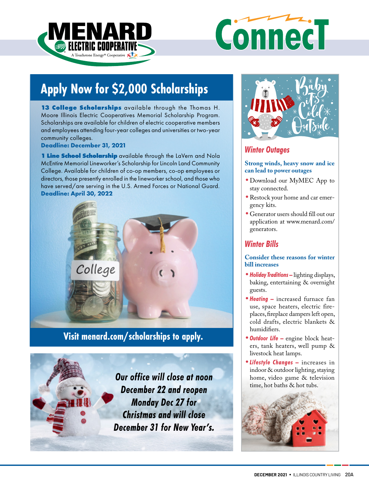



# **Apply Now for \$2,000 Scholarships**

**13 College Scholarships** available through the Thomas H. Moore Illinois Electric Cooperatives Memorial Scholarship Program. Scholarships are available for children of electric cooperative members and employees attending four-year colleges and universities or two-year community colleges.

**Deadline: December 31, 2021**

**1 Line School Scholarship** available through the LaVern and Nola McEntire Memorial Lineworker's Scholarship for Lincoln Land Community College. Available for children of co-op members, co-op employees or directors, those presently enrolled in the lineworker school, and those who have served/are serving in the U.S. Armed Forces or National Guard. **Deadline: April 30, 2022**



**Visit menard.com/scholarships to apply.**

*Our office will close at noon December 22 and reopen Monday Dec 27 for Christmas and will close December 31 for New Year's.* 



## *Winter Outages*

## **Strong winds, heavy snow and ice can lead to power outages**

- **•**Download our MyMEC App to stay connected.
- **•**Restock your home and car emergency kits.
- **•**Generator users should fill out our application at www.menard.com/ generators.

## *Winter Bills*

**Consider these reasons for winter bill increases**

- **•***Holiday Traditions* **–** lighting displays, baking, entertaining & overnight guests.
- **•***Heating* **–** increased furnace fan use, space heaters, electric fireplaces, fireplace dampers left open, cold drafts, electric blankets & humidifiers.
- **•***Outdoor Life*engine block heaters, tank heaters, well pump & livestock heat lamps.
- **•***Lifestyle Changes* **–** increases in indoor & outdoor lighting, staying home, video game & television time, hot baths & hot tubs.

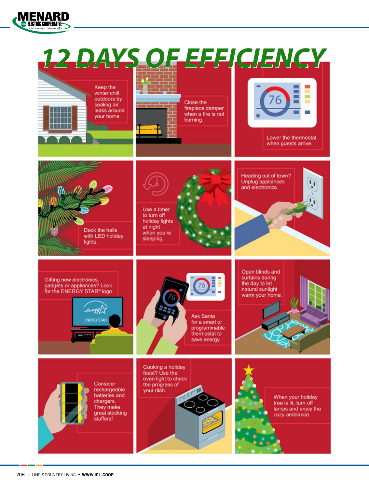

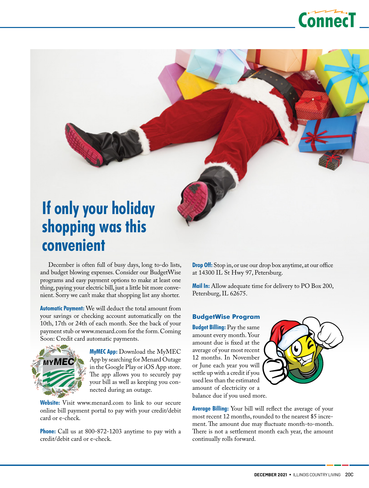

# **If only your holiday shopping was this convenient**

December is often full of busy days, long to-do lists, and budget blowing expenses. Consider our BudgetWise programs and easy payment options to make at least one thing, paying your electric bill, just a little bit more convenient. Sorry we can't make that shopping list any shorter.

**Automatic Payment:** We will deduct the total amount from your savings or checking account automatically on the 10th, 17th or 24th of each month. See the back of your payment stub or www.menard.com for the form. Coming Soon: Credit card automatic payments.



**MyMEC App:** Download the MyMEC App by searching for Menard Outage in the Google Play or iOS App store. The app allows you to securely pay your bill as well as keeping you connected during an outage.

**Website:** Visit www.menard.com to link to our secure online bill payment portal to pay with your credit/debit card or e-check.

**Phone:** Call us at 800-872-1203 anytime to pay with a credit/debit card or e-check.

**Drop Off:** Stop in, or use our drop box anytime, at our office at 14300 IL St Hwy 97, Petersburg.

**Mail In:** Allow adequate time for delivery to PO Box 200, Petersburg, IL 62675.

## **BudgetWise Program**

**Budget Billing:** Pay the same amount every month. Your amount due is fixed at the average of your most recent 12 months. In November or June each year you will settle up with a credit if you used less than the estimated amount of electricity or a balance due if you used more.



**Average Billing:** Your bill will reflect the average of your most recent 12 months, rounded to the nearest \$5 increment. The amount due may fluctuate month-to-month. There is not a settlement month each year, the amount continually rolls forward.